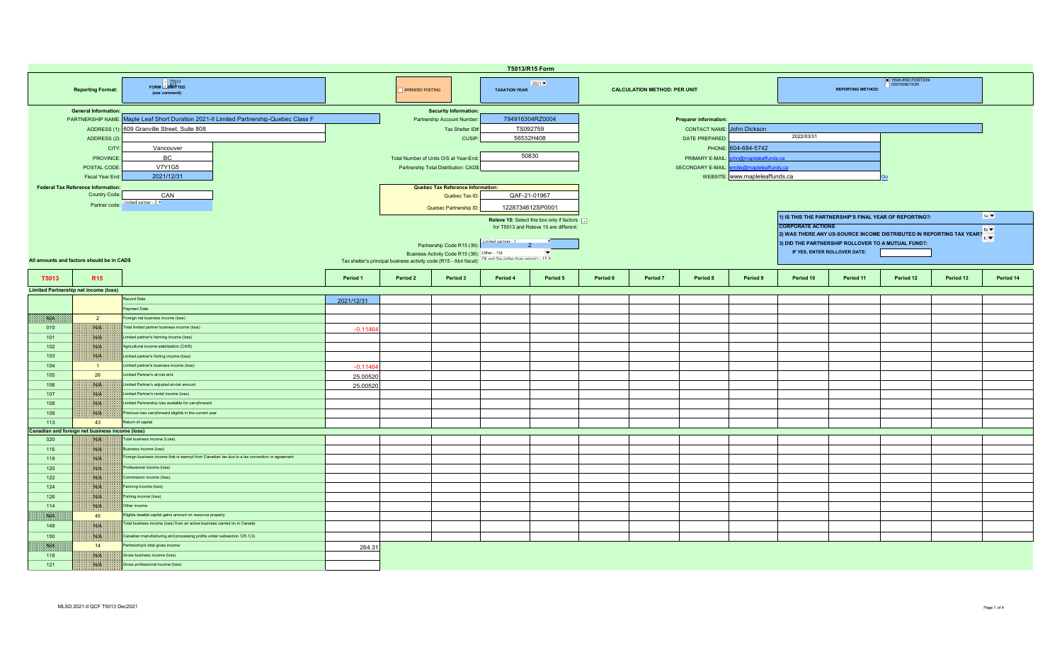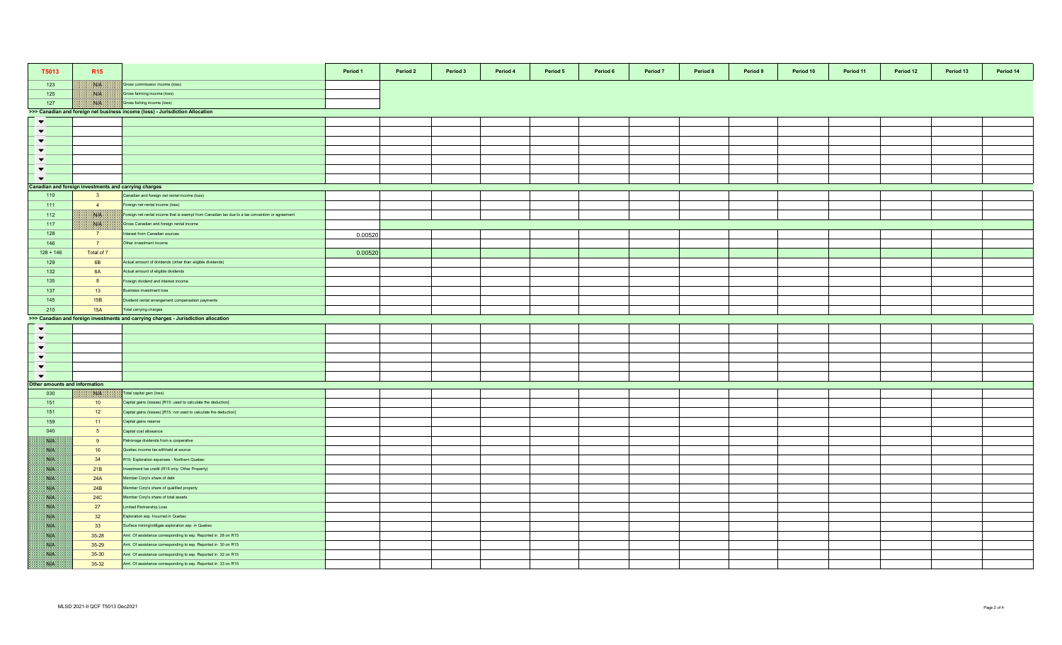| T5013                        | R <sub>15</sub>                                       |                                                                                                 | Period 1 | Period 2 | Period 3 | Period 4 | Period 5 | Period 6 | Period 7 | Period 8 | Period 9 | Period 10 | Period 11 | Period 12 | Period 13 | Period 14 |
|------------------------------|-------------------------------------------------------|-------------------------------------------------------------------------------------------------|----------|----------|----------|----------|----------|----------|----------|----------|----------|-----------|-----------|-----------|-----------|-----------|
| 123                          | W                                                     | Gross commission income (loss)                                                                  |          |          |          |          |          |          |          |          |          |           |           |           |           |           |
| 125                          | <b>NIB</b>                                            | Gross farming income (loss)                                                                     |          |          |          |          |          |          |          |          |          |           |           |           |           |           |
| 127                          | NIA                                                   | Gross fishing income (loss)                                                                     |          |          |          |          |          |          |          |          |          |           |           |           |           |           |
|                              |                                                       | >>> Canadian and foreign net business income (loss) - Jurisdiction Allocation                   |          |          |          |          |          |          |          |          |          |           |           |           |           |           |
| $\blacktriangledown$         |                                                       |                                                                                                 |          |          |          |          |          |          |          |          |          |           |           |           |           |           |
| $\blacktriangledown$         |                                                       |                                                                                                 |          |          |          |          |          |          |          |          |          |           |           |           |           |           |
| $\blacktriangledown$         |                                                       |                                                                                                 |          |          |          |          |          |          |          |          |          |           |           |           |           |           |
| $\blacktriangledown$         |                                                       |                                                                                                 |          |          |          |          |          |          |          |          |          |           |           |           |           |           |
| $\blacktriangledown$         |                                                       |                                                                                                 |          |          |          |          |          |          |          |          |          |           |           |           |           |           |
| $\blacktriangledown$         |                                                       |                                                                                                 |          |          |          |          |          |          |          |          |          |           |           |           |           |           |
| $\blacktriangledown$         |                                                       |                                                                                                 |          |          |          |          |          |          |          |          |          |           |           |           |           |           |
|                              | Canadian and foreign investments and carrying charges |                                                                                                 |          |          |          |          |          |          |          |          |          |           |           |           |           |           |
| 110                          | $\overline{\mathbf{3}}$                               | Canadian and foreign net rental income (loss)                                                   |          |          |          |          |          |          |          |          |          |           |           |           |           |           |
| 111                          | $\overline{4}$                                        | Foreign net rental income (loss)                                                                |          |          |          |          |          |          |          |          |          |           |           |           |           |           |
| 112                          | NA                                                    | Foreign net rental income that is exempt from Canadian tax due to a tax convention or agreement |          |          |          |          |          |          |          |          |          |           |           |           |           |           |
| 117                          | <b>Bible</b>                                          | Gross Canadian and foreign rental income                                                        |          |          |          |          |          |          |          |          |          |           |           |           |           |           |
| 128                          | $\overline{7}$                                        | nterest from Canadian sources                                                                   |          |          |          |          |          |          |          |          |          |           |           |           |           |           |
|                              |                                                       |                                                                                                 | 0.00520  |          |          |          |          |          |          |          |          |           |           |           |           |           |
| 146                          | 7                                                     | Other investment income                                                                         |          |          |          |          |          |          |          |          |          |           |           |           |           |           |
| $128 + 146$                  | Total of 7                                            | Actual amount of dividends (other than eligible dividends)                                      | 0.00520  |          |          |          |          |          |          |          |          |           |           |           |           |           |
| 129                          | 6 <b>B</b>                                            |                                                                                                 |          |          |          |          |          |          |          |          |          |           |           |           |           |           |
| 132                          | 6A                                                    | Actual amount of eligible dividends                                                             |          |          |          |          |          |          |          |          |          |           |           |           |           |           |
| 135                          | 8                                                     | oreign dividend and interest income                                                             |          |          |          |          |          |          |          |          |          |           |           |           |           |           |
| 137                          | 13                                                    | susiness investment loss                                                                        |          |          |          |          |          |          |          |          |          |           |           |           |           |           |
| 145                          | 15B                                                   | Oividend rental arrangement compensation payments                                               |          |          |          |          |          |          |          |          |          |           |           |           |           |           |
| 210                          | <b>15A</b>                                            | Total carrying charges                                                                          |          |          |          |          |          |          |          |          |          |           |           |           |           |           |
|                              |                                                       | >>> Canadian and foreign investments and carrying charges - Jurisdiction allocation             |          |          |          |          |          |          |          |          |          |           |           |           |           |           |
| $\blacktriangledown$         |                                                       |                                                                                                 |          |          |          |          |          |          |          |          |          |           |           |           |           |           |
| $\blacktriangledown$         |                                                       |                                                                                                 |          |          |          |          |          |          |          |          |          |           |           |           |           |           |
| $\overline{\phantom{a}}$     |                                                       |                                                                                                 |          |          |          |          |          |          |          |          |          |           |           |           |           |           |
| $\blacktriangledown$         |                                                       |                                                                                                 |          |          |          |          |          |          |          |          |          |           |           |           |           |           |
| $\overline{\phantom{0}}$     |                                                       |                                                                                                 |          |          |          |          |          |          |          |          |          |           |           |           |           |           |
| $\blacktriangledown$         |                                                       |                                                                                                 |          |          |          |          |          |          |          |          |          |           |           |           |           |           |
| ther amounts and information |                                                       |                                                                                                 |          |          |          |          |          |          |          |          |          |           |           |           |           |           |
| 030                          | NIA                                                   | Total capital gain (loss)                                                                       |          |          |          |          |          |          |          |          |          |           |           |           |           |           |
| 151                          | 10                                                    | Capital gains (losses) [R15: used to calculate the deduction]                                   |          |          |          |          |          |          |          |          |          |           |           |           |           |           |
| 151                          | 12                                                    | Capital gains (losses) [R15: not used to calculate the deduction]                               |          |          |          |          |          |          |          |          |          |           |           |           |           |           |
| 159                          | 11                                                    | Capital gains reserve                                                                           |          |          |          |          |          |          |          |          |          |           |           |           |           |           |
| 040                          | 5 <sub>5</sub>                                        | Capital cost allowance                                                                          |          |          |          |          |          |          |          |          |          |           |           |           |           |           |
| NA                           | 9                                                     | Patronage dividends from a cooperative                                                          |          |          |          |          |          |          |          |          |          |           |           |           |           |           |
| SSB.                         | 16                                                    | Quebec income tax withheld at source                                                            |          |          |          |          |          |          |          |          |          |           |           |           |           |           |
| WB.                          | 34                                                    | R15: Exploration expenses - Northern Quebec                                                     |          |          |          |          |          |          |          |          |          |           |           |           |           |           |
| 水田                           | 21B                                                   | nvestment tax credit (R15 only: Other Property)                                                 |          |          |          |          |          |          |          |          |          |           |           |           |           |           |
| <b>SAFE</b>                  | 24A                                                   | Member Corp's share of debt                                                                     |          |          |          |          |          |          |          |          |          |           |           |           |           |           |
| S.B                          | 24B                                                   | Member Corp's share of qualified property                                                       |          |          |          |          |          |          |          |          |          |           |           |           |           |           |
| <b>SALE</b>                  | <b>24C</b>                                            | Member Corp's share of total assets                                                             |          |          |          |          |          |          |          |          |          |           |           |           |           |           |
| <b>SIE</b>                   | 27                                                    | imited Partnership Loss                                                                         |          |          |          |          |          |          |          |          |          |           |           |           |           |           |
| SVN.                         | 32                                                    | Exploration exp. Incurred in Quebec                                                             |          |          |          |          |          |          |          |          |          |           |           |           |           |           |
| NP                           | 33                                                    | Surface mining/oil&gas exploration exp. in Quebec                                               |          |          |          |          |          |          |          |          |          |           |           |           |           |           |
| NB.                          | $35 - 28$                                             | Amt. Of assistance corresponding to exp. Reported in 28 on R15                                  |          |          |          |          |          |          |          |          |          |           |           |           |           |           |
| Nik                          | 35-29                                                 | Amt. Of assistance corresponding to exp. Reported in 30 on R15                                  |          |          |          |          |          |          |          |          |          |           |           |           |           |           |
| <b>SAFE</b>                  | 35-30                                                 | Amt. Of assistance corresponding to exp. Reported in 32 on R15                                  |          |          |          |          |          |          |          |          |          |           |           |           |           |           |
| SS                           | 35-32                                                 | Amt. Of assistance corresponding to exp. Reported in 33 on R15                                  |          |          |          |          |          |          |          |          |          |           |           |           |           |           |
|                              |                                                       |                                                                                                 |          |          |          |          |          |          |          |          |          |           |           |           |           |           |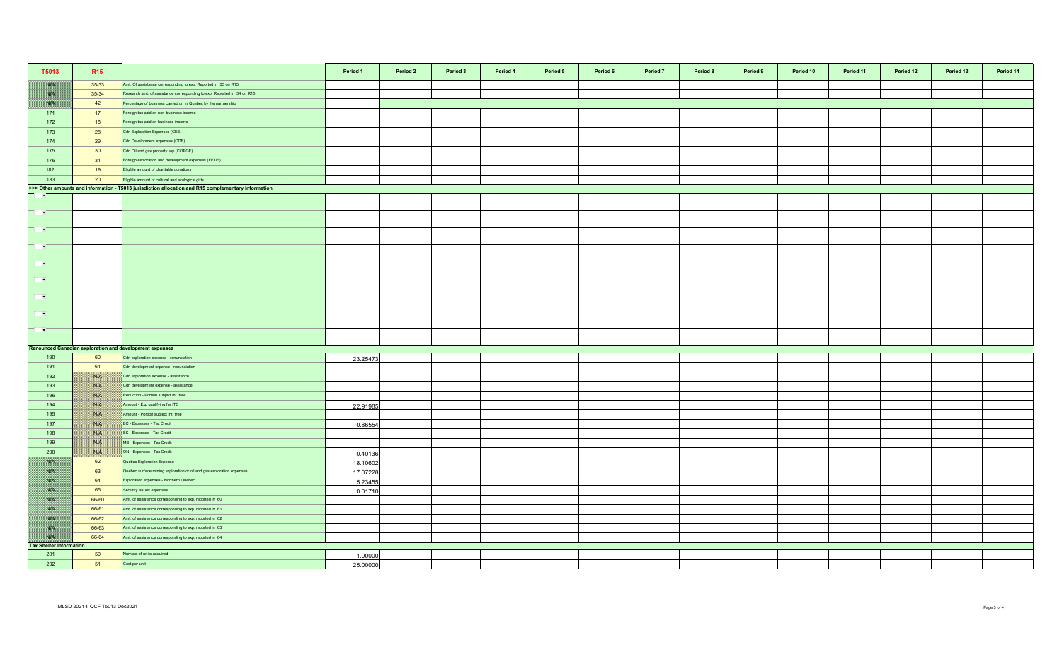| T5013                          | R <sub>15</sub> |                                                                                                     | Period 1<br>Period 2 | Period 3 | Period 4 | Period 5 | Period 6 | Period 7 | Period 8 | Period 9 | Period 10 | Period 11 | Period 12 | Period 13 | Period 14 |
|--------------------------------|-----------------|-----------------------------------------------------------------------------------------------------|----------------------|----------|----------|----------|----------|----------|----------|----------|-----------|-----------|-----------|-----------|-----------|
| NK                             | 35-33           | Amt. Of assistance corresponding to exp. Reported in 33 on R15                                      |                      |          |          |          |          |          |          |          |           |           |           |           |           |
| 80A                            | 35-34           | Research amt. of assistance corresponding to exp. Reported in 34 on R15                             |                      |          |          |          |          |          |          |          |           |           |           |           |           |
| 3812                           | 42              | Percentage of business carried on in Quebec by the partnership                                      |                      |          |          |          |          |          |          |          |           |           |           |           |           |
| 171                            | 17              | Foreign tax paid on non-business income                                                             |                      |          |          |          |          |          |          |          |           |           |           |           |           |
| 172                            | 18              | oreign tax paid on business income                                                                  |                      |          |          |          |          |          |          |          |           |           |           |           |           |
| 173                            | 28              | Cdn Exploration Expenses (CEE)                                                                      |                      |          |          |          |          |          |          |          |           |           |           |           |           |
| 174                            | 29              | Cdn Development expenses (CDE)                                                                      |                      |          |          |          |          |          |          |          |           |           |           |           |           |
| 175                            | 30              | Cdn Oil and gas property exp (COPGE)                                                                |                      |          |          |          |          |          |          |          |           |           |           |           |           |
| 176                            | 31              | oreign exploration and development expenses (FEDE)                                                  |                      |          |          |          |          |          |          |          |           |           |           |           |           |
| 182                            | 19              | Eligible amount of charitable donations                                                             |                      |          |          |          |          |          |          |          |           |           |           |           |           |
| 183                            | 20              | Eligible amount of cultural and ecological gifts                                                    |                      |          |          |          |          |          |          |          |           |           |           |           |           |
|                                |                 | >>> Other amounts and information - T5013 jurisdiction allocation and R15 complementary information |                      |          |          |          |          |          |          |          |           |           |           |           |           |
| Н<br>$\overline{\phantom{a}}$  |                 |                                                                                                     |                      |          |          |          |          |          |          |          |           |           |           |           |           |
| <b>THE ST</b>                  |                 |                                                                                                     |                      |          |          |          |          |          |          |          |           |           |           |           |           |
|                                |                 |                                                                                                     |                      |          |          |          |          |          |          |          |           |           |           |           |           |
| $\overline{\phantom{a}}$       |                 |                                                                                                     |                      |          |          |          |          |          |          |          |           |           |           |           |           |
| <b>TIME</b>                    |                 |                                                                                                     |                      |          |          |          |          |          |          |          |           |           |           |           |           |
| $\blacksquare$                 |                 |                                                                                                     |                      |          |          |          |          |          |          |          |           |           |           |           |           |
|                                |                 |                                                                                                     |                      |          |          |          |          |          |          |          |           |           |           |           |           |
| $\blacksquare$                 |                 |                                                                                                     |                      |          |          |          |          |          |          |          |           |           |           |           |           |
| <b>POST</b>                    |                 |                                                                                                     |                      |          |          |          |          |          |          |          |           |           |           |           |           |
|                                |                 |                                                                                                     |                      |          |          |          |          |          |          |          |           |           |           |           |           |
| $\sim$                         |                 |                                                                                                     |                      |          |          |          |          |          |          |          |           |           |           |           |           |
| <b>Contract</b>                |                 |                                                                                                     |                      |          |          |          |          |          |          |          |           |           |           |           |           |
|                                |                 | <b>Renounced Canadian exploration and development expenses</b>                                      |                      |          |          |          |          |          |          |          |           |           |           |           |           |
| 190                            | 60              | Cdn exploration expense - renunciation                                                              | 23.25473             |          |          |          |          |          |          |          |           |           |           |           |           |
| 191                            | 61              | Cdn development expense - renunciation                                                              |                      |          |          |          |          |          |          |          |           |           |           |           |           |
| 192                            | ma              | Cdn exploration expense - assistance                                                                |                      |          |          |          |          |          |          |          |           |           |           |           |           |
| 193                            | NG              | Cdn development expense - assistance                                                                |                      |          |          |          |          |          |          |          |           |           |           |           |           |
| 196                            | <b>NIP</b>      | Reduction - Portion subject int. free                                                               |                      |          |          |          |          |          |          |          |           |           |           |           |           |
| 194                            | <b>Sille</b>    | Amount - Exp qualifying for ITC                                                                     | 22.91985             |          |          |          |          |          |          |          |           |           |           |           |           |
| 195                            | NIK             | Amount - Portion subject int. free                                                                  |                      |          |          |          |          |          |          |          |           |           |           |           |           |
| 197                            | NIK             | BC - Expenses - Tax Credit                                                                          | 0.86554              |          |          |          |          |          |          |          |           |           |           |           |           |
| 198                            | NIA             | SK - Expenses - Tax Credit                                                                          |                      |          |          |          |          |          |          |          |           |           |           |           |           |
| 199                            |                 | MB - Expenses - Tax Credit                                                                          |                      |          |          |          |          |          |          |          |           |           |           |           |           |
| 200                            | <b>SALE</b>     | ON - Expenses - Tax Credit                                                                          | 0.40136              |          |          |          |          |          |          |          |           |           |           |           |           |
| <b>ANTE</b>                    | 62              | Quebec Exploration Expense                                                                          | 18.10602             |          |          |          |          |          |          |          |           |           |           |           |           |
| NB                             | 63              | Quebec surface mining exploration or oil and gas exploration expenses                               | 17.07228             |          |          |          |          |          |          |          |           |           |           |           |           |
| 880%                           | 64              | Exploration expenses - Northern Quebec                                                              | 5.23455              |          |          |          |          |          |          |          |           |           |           |           |           |
| NB.                            | 65              | Security issues expenses                                                                            | 0.01710              |          |          |          |          |          |          |          |           |           |           |           |           |
| N/L                            | 66-60           | Amt. of assistance corresponding to exp. reported in 60                                             |                      |          |          |          |          |          |          |          |           |           |           |           |           |
| <b>SYN</b>                     | 66-61           | Amt. of assistance corresponding to exp. reported in 61                                             |                      |          |          |          |          |          |          |          |           |           |           |           |           |
| 一致的                            | 66-62           | Amt. of assistance corresponding to exp. reported in 62                                             |                      |          |          |          |          |          |          |          |           |           |           |           |           |
| NP                             | 66-63           | Amt. of assistance corresponding to exp. reported in 63                                             |                      |          |          |          |          |          |          |          |           |           |           |           |           |
| WB                             | 66-64           | Amt. of assistance corresponding to exp. reported in 64                                             |                      |          |          |          |          |          |          |          |           |           |           |           |           |
| <b>Tax Shelter Information</b> |                 |                                                                                                     |                      |          |          |          |          |          |          |          |           |           |           |           |           |
| 201                            | 50              | Number of units acquired                                                                            | 1.00000              |          |          |          |          |          |          |          |           |           |           |           |           |
| 202                            | 51              | Cost per unit                                                                                       | 25.00000             |          |          |          |          |          |          |          |           |           |           |           |           |